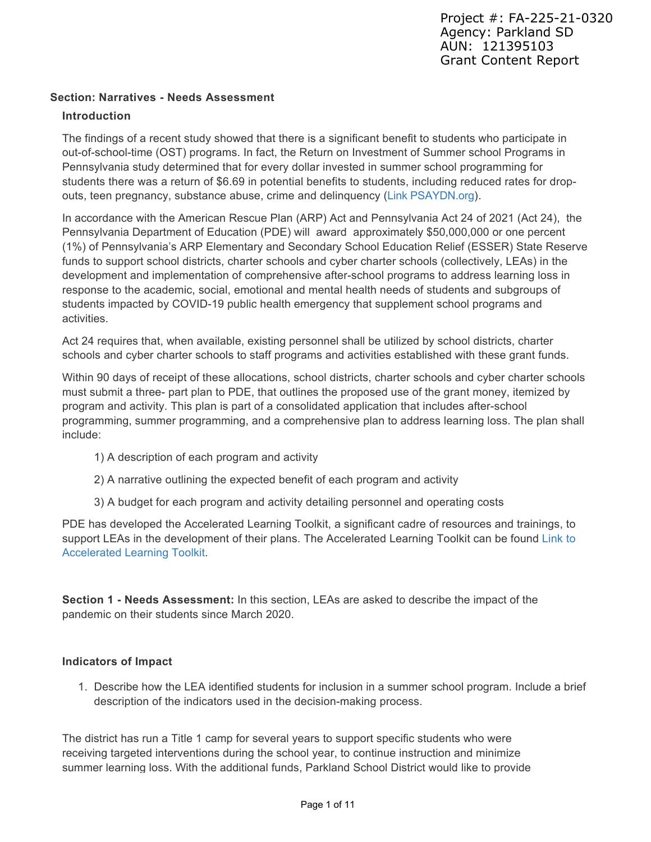#### **Section: Narratives - Needs Assessment**

#### **Introduction**

The findings of a recent study showed that there is a significant benefit to students who participate in out-of-school-time (OST) programs. In fact, the Return on Investment of Summer school Programs in Pennsylvania study determined that for every dollar invested in summer school programming for students there was a return of \$6.69 in potential benefits to students, including reduced rates for dropouts, teen pregnancy, substance abuse, crime and delinquency [\(Link PSAYDN.org](http://www.psaydn.org/press/new-study-6-69-returned-for-every-dollar-spent-on-afterschool-programs-in-pennsylvania/)).

In accordance with the American Rescue Plan (ARP) Act and Pennsylvania Act 24 of 2021 (Act 24), the Pennsylvania Department of Education (PDE) will award approximately \$50,000,000 or one percent (1%) of Pennsylvania's ARP Elementary and Secondary School Education Relief (ESSER) State Reserve funds to support school districts, charter schools and cyber charter schools (collectively, LEAs) in the development and implementation of comprehensive after-school programs to address learning loss in response to the academic, social, emotional and mental health needs of students and subgroups of students impacted by COVID-19 public health emergency that supplement school programs and activities.

Act 24 requires that, when available, existing personnel shall be utilized by school districts, charter schools and cyber charter schools to staff programs and activities established with these grant funds.

Within 90 days of receipt of these allocations, school districts, charter schools and cyber charter schools must submit a three- part plan to PDE, that outlines the proposed use of the grant money, itemized by program and activity. This plan is part of a consolidated application that includes after-school programming, summer programming, and a comprehensive plan to address learning loss. The plan shall include:

- 1) A description of each program and activity
- 2) A narrative outlining the expected benefit of each program and activity
- 3) A budget for each program and activity detailing personnel and operating costs

PDE has developed the Accelerated Learning Toolkit, a significant cadre of resources and trainings, to [support LEAs in the development of their plans. The Accelerated Learning Toolkit can be found Link to](http://www.education.pa.gov/acceleratedlearning) Accelerated Learning Toolkit.

**Section 1 - Needs Assessment:** In this section, LEAs are asked to describe the impact of the pandemic on their students since March 2020.

#### **Indicators of Impact**

1. Describe how the LEA identified students for inclusion in a summer school program. Include a brief description of the indicators used in the decision-making process.

The district has run a Title 1 camp for several years to support specific students who were receiving targeted interventions during the school year, to continue instruction and minimize summer learning loss. With the additional funds, Parkland School District would like to provide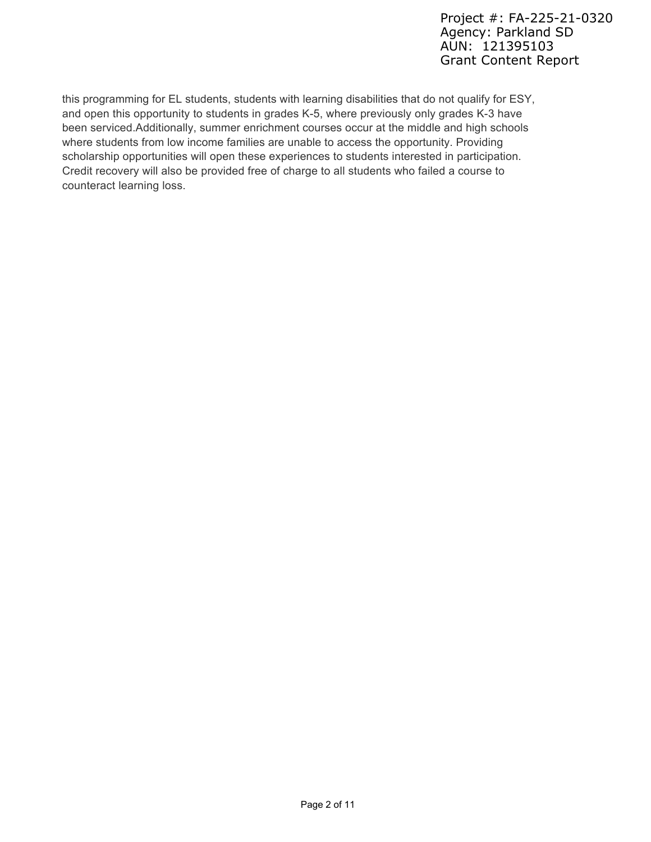this programming for EL students, students with learning disabilities that do not qualify for ESY, and open this opportunity to students in grades K-5, where previously only grades K-3 have been serviced.Additionally, summer enrichment courses occur at the middle and high schools where students from low income families are unable to access the opportunity. Providing scholarship opportunities will open these experiences to students interested in participation. Credit recovery will also be provided free of charge to all students who failed a course to counteract learning loss.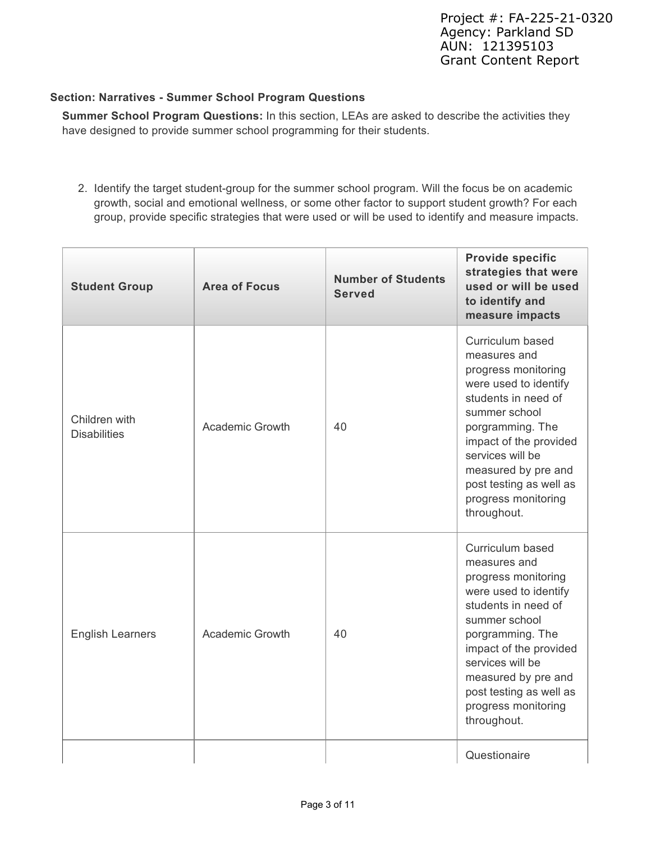#### **Section: Narratives - Summer School Program Questions**

**Summer School Program Questions:** In this section, LEAs are asked to describe the activities they have designed to provide summer school programming for their students.

2. Identify the target student-group for the summer school program. Will the focus be on academic growth, social and emotional wellness, or some other factor to support student growth? For each group, provide specific strategies that were used or will be used to identify and measure impacts.

| <b>Area of Focus</b><br><b>Student Group</b> |                        | <b>Number of Students</b><br><b>Served</b> | <b>Provide specific</b><br>strategies that were<br>used or will be used<br>to identify and<br>measure impacts                                                                                                                                                                      |  |  |
|----------------------------------------------|------------------------|--------------------------------------------|------------------------------------------------------------------------------------------------------------------------------------------------------------------------------------------------------------------------------------------------------------------------------------|--|--|
| Children with<br><b>Disabilities</b>         | <b>Academic Growth</b> | 40                                         | Curriculum based<br>measures and<br>progress monitoring<br>were used to identify<br>students in need of<br>summer school<br>porgramming. The<br>impact of the provided<br>services will be<br>measured by pre and<br>post testing as well as<br>progress monitoring<br>throughout. |  |  |
| <b>English Learners</b>                      | <b>Academic Growth</b> | 40                                         | Curriculum based<br>measures and<br>progress monitoring<br>were used to identify<br>students in need of<br>summer school<br>porgramming. The<br>impact of the provided<br>services will be<br>measured by pre and<br>post testing as well as<br>progress monitoring<br>throughout. |  |  |
|                                              |                        |                                            | Questionaire                                                                                                                                                                                                                                                                       |  |  |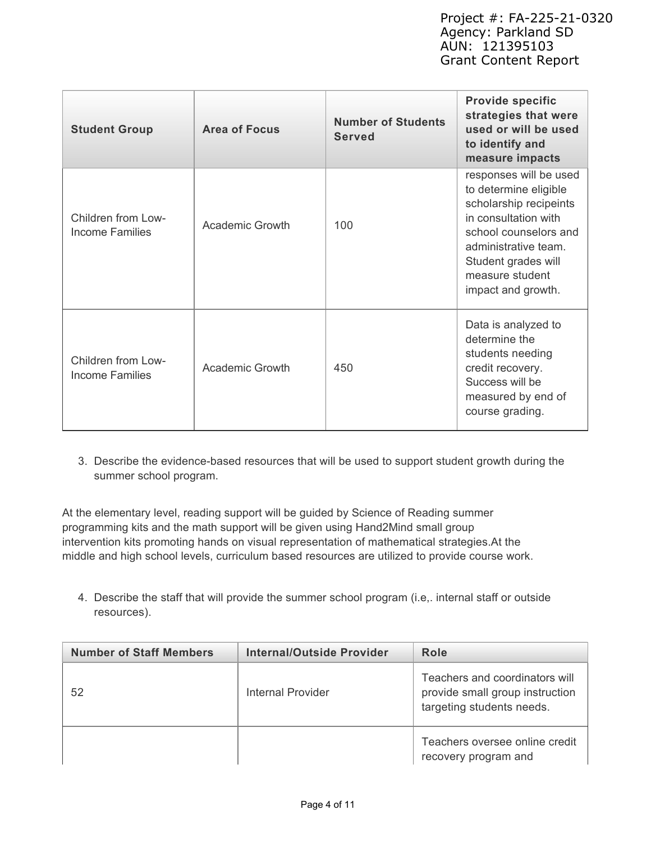| <b>Student Group</b>                         | <b>Area of Focus</b> | <b>Number of Students</b><br><b>Served</b> | <b>Provide specific</b><br>strategies that were<br>used or will be used<br>to identify and<br>measure impacts                                                                                                      |
|----------------------------------------------|----------------------|--------------------------------------------|--------------------------------------------------------------------------------------------------------------------------------------------------------------------------------------------------------------------|
| Children from Low-<br>Income Families        | Academic Growth      | 100                                        | responses will be used<br>to determine eligible<br>scholarship recipeints<br>in consultation with<br>school counselors and<br>administrative team.<br>Student grades will<br>measure student<br>impact and growth. |
| Children from Low-<br><b>Income Families</b> | Academic Growth      | 450                                        | Data is analyzed to<br>determine the<br>students needing<br>credit recovery.<br>Success will be<br>measured by end of<br>course grading.                                                                           |

3. Describe the evidence-based resources that will be used to support student growth during the summer school program.

At the elementary level, reading support will be guided by Science of Reading summer programming kits and the math support will be given using Hand2Mind small group intervention kits promoting hands on visual representation of mathematical strategies.At the middle and high school levels, curriculum based resources are utilized to provide course work.

4. Describe the staff that will provide the summer school program (i.e,. internal staff or outside resources).

| <b>Number of Staff Members</b> | <b>Internal/Outside Provider</b> | Role                                                                                           |
|--------------------------------|----------------------------------|------------------------------------------------------------------------------------------------|
| 52                             | Internal Provider                | Teachers and coordinators will<br>provide small group instruction<br>targeting students needs. |
|                                |                                  | Teachers oversee online credit<br>recovery program and                                         |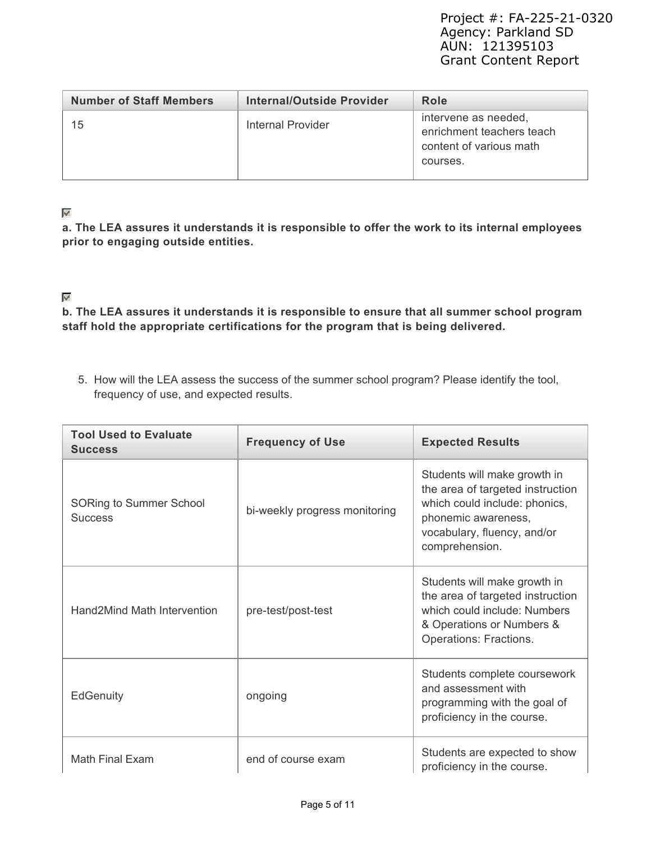| <b>Number of Staff Members</b> | Internal/Outside Provider | Role                                                                                     |
|--------------------------------|---------------------------|------------------------------------------------------------------------------------------|
| 15                             | Internal Provider         | intervene as needed,<br>enrichment teachers teach<br>content of various math<br>courses. |

#### $\overline{\mathscr{S}}$

**a. The LEA assures it understands it is responsible to offer the work to its internal employees prior to engaging outside entities.**

### $\mathscr{A}$

**b. The LEA assures it understands it is responsible to ensure that all summer school program staff hold the appropriate certifications for the program that is being delivered.**

5. How will the LEA assess the success of the summer school program? Please identify the tool, frequency of use, and expected results.

| <b>Tool Used to Evaluate</b><br><b>Success</b>   | <b>Frequency of Use</b>       | <b>Expected Results</b>                                                                                                                                                   |  |  |
|--------------------------------------------------|-------------------------------|---------------------------------------------------------------------------------------------------------------------------------------------------------------------------|--|--|
| <b>SORing to Summer School</b><br><b>Success</b> | bi-weekly progress monitoring | Students will make growth in<br>the area of targeted instruction<br>which could include: phonics,<br>phonemic awareness,<br>vocabulary, fluency, and/or<br>comprehension. |  |  |
| Hand2Mind Math Intervention                      | pre-test/post-test            | Students will make growth in<br>the area of targeted instruction<br>which could include: Numbers<br>& Operations or Numbers &<br>Operations: Fractions.                   |  |  |
| <b>EdGenuity</b>                                 | ongoing                       | Students complete coursework<br>and assessment with<br>programming with the goal of<br>proficiency in the course.                                                         |  |  |
| <b>Math Final Exam</b>                           | end of course exam            | Students are expected to show<br>proficiency in the course.                                                                                                               |  |  |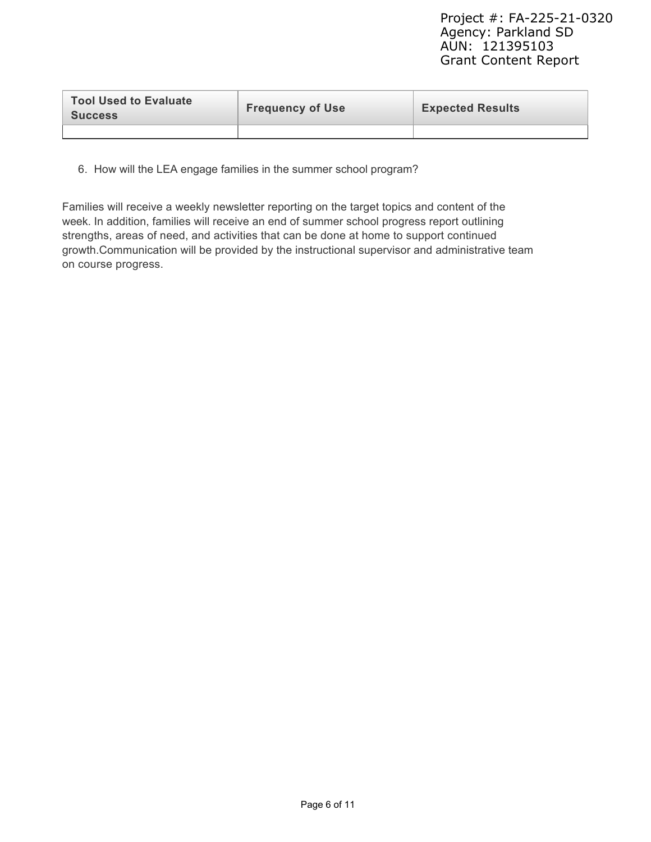| <b>Tool Used to Evaluate</b><br><b>Success</b> | <b>Frequency of Use</b> | <b>Expected Results</b> |
|------------------------------------------------|-------------------------|-------------------------|
|                                                |                         |                         |

6. How will the LEA engage families in the summer school program?

Families will receive a weekly newsletter reporting on the target topics and content of the week. In addition, families will receive an end of summer school progress report outlining strengths, areas of need, and activities that can be done at home to support continued growth.Communication will be provided by the instructional supervisor and administrative team on course progress.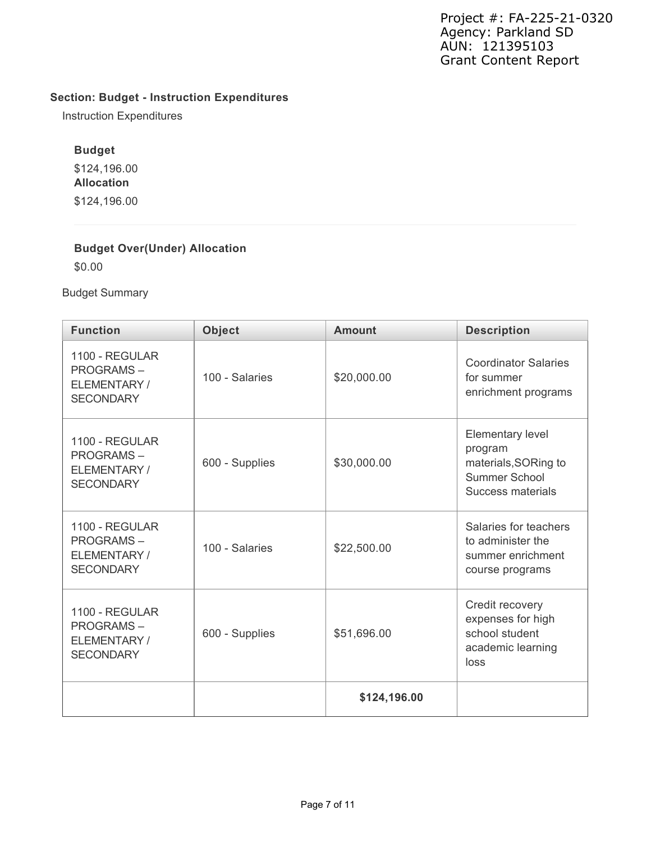# **Section: Budget - Instruction Expenditures**

Instruction Expenditures

# **Budget**

\$124,196.00 **Allocation** \$124,196.00

### **Budget Over(Under) Allocation**

\$0.00

Budget Summary

| <b>Function</b>                                                                          | <b>Object</b>  | <b>Amount</b> | <b>Description</b>                                                                        |
|------------------------------------------------------------------------------------------|----------------|---------------|-------------------------------------------------------------------------------------------|
| 1100 - REGULAR<br><b>PROGRAMS-</b><br>ELEMENTARY /<br><b>SECONDARY</b>                   | 100 - Salaries | \$20,000.00   | <b>Coordinator Salaries</b><br>for summer<br>enrichment programs                          |
| 1100 - REGULAR<br><b>PROGRAMS-</b><br>ELEMENTARY/<br><b>SECONDARY</b>                    | 600 - Supplies | \$30,000.00   | Elementary level<br>program<br>materials, SORing to<br>Summer School<br>Success materials |
| 1100 - REGULAR<br><b>PROGRAMS-</b><br>100 - Salaries<br>ELEMENTARY /<br><b>SECONDARY</b> |                | \$22,500.00   | Salaries for teachers<br>to administer the<br>summer enrichment<br>course programs        |
| 1100 - REGULAR<br><b>PROGRAMS-</b><br>ELEMENTARY/<br><b>SECONDARY</b>                    | 600 - Supplies |               | Credit recovery<br>expenses for high<br>school student<br>academic learning<br>loss       |
|                                                                                          |                | \$124,196.00  |                                                                                           |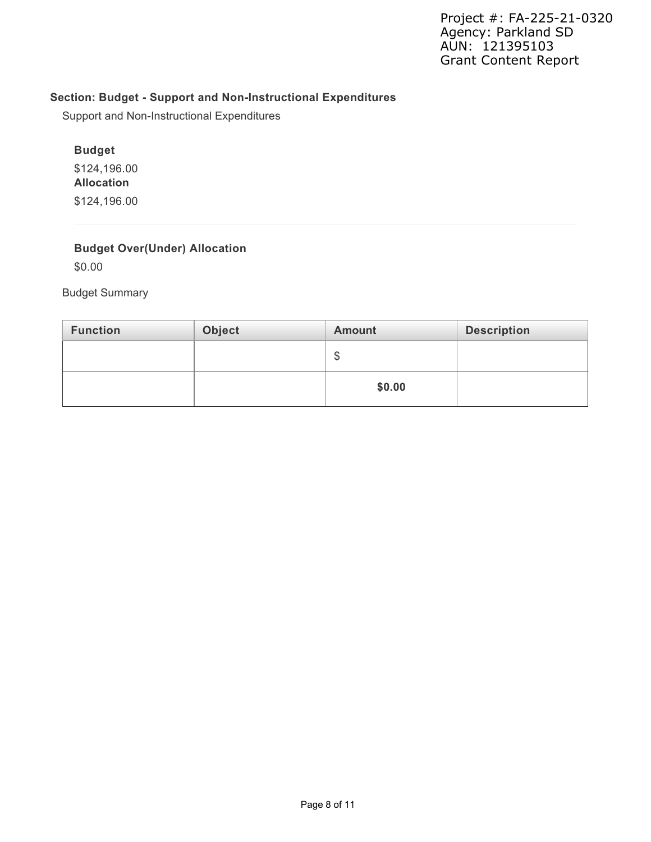# **Section: Budget - Support and Non-Instructional Expenditures**

Support and Non-Instructional Expenditures

#### **Budget**

\$124,196.00 **Allocation** \$124,196.00

### **Budget Over(Under) Allocation**

\$0.00

Budget Summary

| <b>Function</b> | Object | <b>Amount</b> | <b>Description</b> |
|-----------------|--------|---------------|--------------------|
|                 |        | Œ<br>Œ        |                    |
|                 |        | \$0.00        |                    |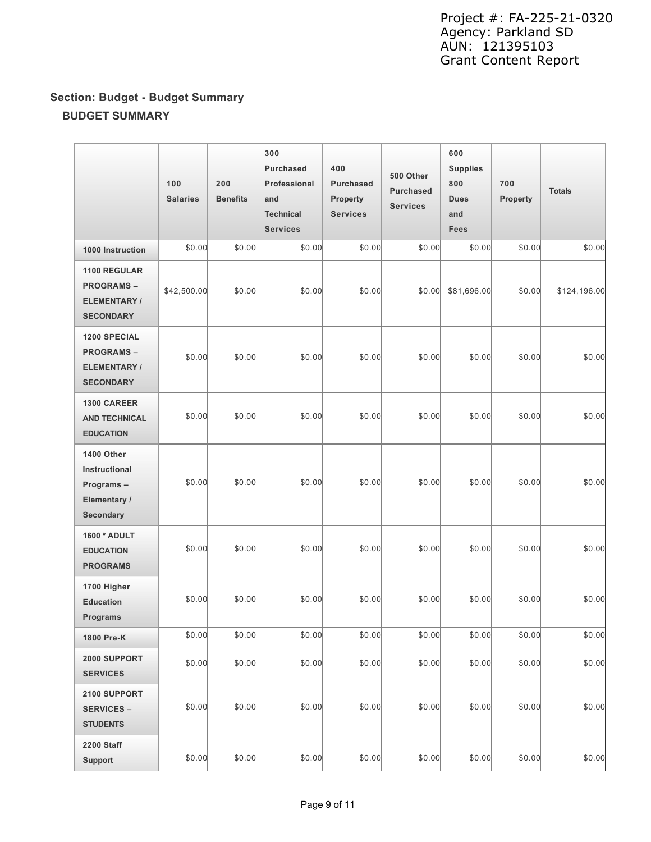# **Section: Budget - Budget Summary BUDGET SUMMARY**

|                                                                                   | 100<br><b>Salaries</b> | 200<br><b>Benefits</b> | 300<br>Purchased<br>Professional<br>and<br><b>Technical</b><br><b>Services</b> | 400<br><b>Purchased</b><br>Property<br><b>Services</b> | 500 Other<br><b>Purchased</b><br><b>Services</b> | 600<br><b>Supplies</b><br>800<br><b>Dues</b><br>and<br><b>Fees</b> | 700<br>Property | <b>Totals</b> |
|-----------------------------------------------------------------------------------|------------------------|------------------------|--------------------------------------------------------------------------------|--------------------------------------------------------|--------------------------------------------------|--------------------------------------------------------------------|-----------------|---------------|
| 1000 Instruction                                                                  | \$0.00                 | \$0.00                 | \$0.00                                                                         | \$0.00                                                 | \$0.00                                           | \$0.00                                                             | \$0.00          | \$0.00        |
| 1100 REGULAR<br><b>PROGRAMS-</b><br><b>ELEMENTARY/</b><br><b>SECONDARY</b>        | \$42,500.00            | \$0.00                 | \$0.00                                                                         | \$0.00                                                 | \$0.00                                           | \$81,696.00                                                        | \$0.00          | \$124,196.00  |
| <b>1200 SPECIAL</b><br><b>PROGRAMS-</b><br><b>ELEMENTARY/</b><br><b>SECONDARY</b> | \$0.00                 | \$0.00                 | \$0.00                                                                         | \$0.00                                                 | \$0.00                                           | \$0.00                                                             | \$0.00          | \$0.00        |
| <b>1300 CAREER</b><br><b>AND TECHNICAL</b><br><b>EDUCATION</b>                    | \$0.00                 | \$0.00                 | \$0.00                                                                         | \$0.00                                                 | \$0.00                                           | \$0.00                                                             | \$0.00          | \$0.00        |
| 1400 Other<br>Instructional<br>Programs-<br>Elementary /<br><b>Secondary</b>      | \$0.00                 | \$0.00                 | \$0.00                                                                         | \$0.00                                                 | \$0.00                                           | \$0.00                                                             | \$0.00          | \$0.00        |
| 1600 * ADULT<br><b>EDUCATION</b><br><b>PROGRAMS</b>                               | \$0.00                 | \$0.00                 | \$0.00                                                                         | \$0.00                                                 | \$0.00                                           | \$0.00                                                             | \$0.00          | \$0.00        |
| 1700 Higher<br><b>Education</b><br><b>Programs</b>                                | \$0.00                 | \$0.00                 | \$0.00                                                                         | \$0.00                                                 | \$0.00                                           | \$0.00                                                             | \$0.00          | \$0.00        |
| 1800 Pre-K                                                                        | \$0.00                 | \$0.00                 | \$0.00                                                                         | \$0.00                                                 | \$0.00                                           | \$0.00                                                             | \$0.00          | \$0.00        |
| 2000 SUPPORT<br><b>SERVICES</b>                                                   | \$0.00                 | \$0.00                 | \$0.00                                                                         | \$0.00                                                 | \$0.00                                           | \$0.00                                                             | \$0.00          | \$0.00        |
| 2100 SUPPORT<br><b>SERVICES -</b><br><b>STUDENTS</b>                              | \$0.00                 | \$0.00                 | \$0.00                                                                         | \$0.00                                                 | \$0.00                                           | \$0.00                                                             | \$0.00          | \$0.00        |
| <b>2200 Staff</b><br><b>Support</b>                                               | \$0.00                 | \$0.00                 | \$0.00                                                                         | \$0.00                                                 | \$0.00                                           | \$0.00                                                             | \$0.00          | \$0.00        |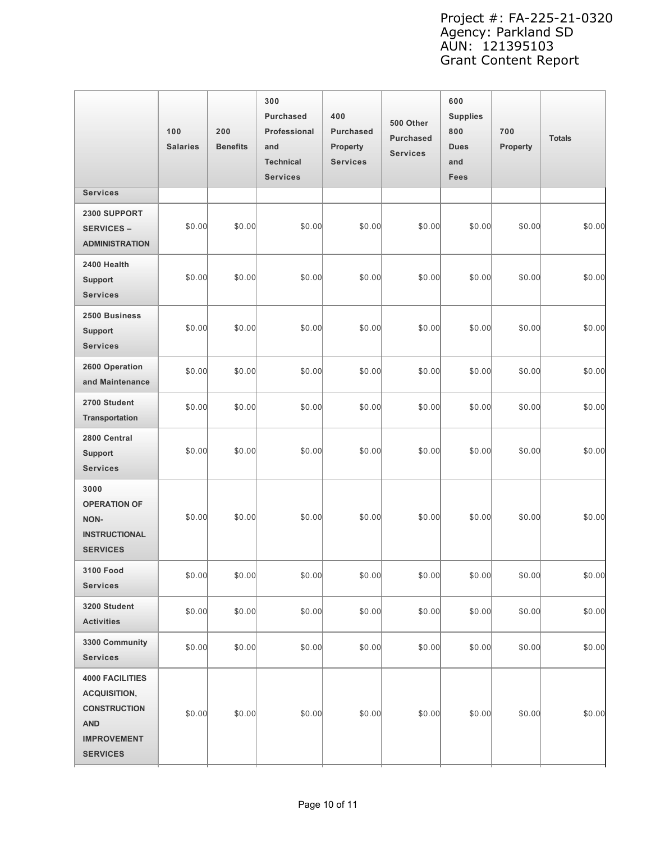|                                                                                                                             | 100<br><b>Salaries</b> | 200<br><b>Benefits</b> | 300<br><b>Purchased</b><br>Professional<br>and<br><b>Technical</b><br><b>Services</b> | 400<br><b>Purchased</b><br>Property<br><b>Services</b> | 500 Other<br><b>Purchased</b><br><b>Services</b> | 600<br><b>Supplies</b><br>800<br><b>Dues</b><br>and<br>Fees | 700<br>Property | <b>Totals</b> |
|-----------------------------------------------------------------------------------------------------------------------------|------------------------|------------------------|---------------------------------------------------------------------------------------|--------------------------------------------------------|--------------------------------------------------|-------------------------------------------------------------|-----------------|---------------|
| <b>Services</b>                                                                                                             |                        |                        |                                                                                       |                                                        |                                                  |                                                             |                 |               |
| 2300 SUPPORT<br><b>SERVICES -</b><br><b>ADMINISTRATION</b>                                                                  | \$0.00                 | \$0.00                 | \$0.00                                                                                | \$0.00                                                 | \$0.00                                           | \$0.00                                                      | \$0.00          | \$0.00        |
| 2400 Health<br><b>Support</b><br><b>Services</b>                                                                            | \$0.00                 | \$0.00                 | \$0.00                                                                                | \$0.00                                                 | \$0.00                                           | \$0.00                                                      | \$0.00          | \$0.00        |
| 2500 Business<br><b>Support</b><br><b>Services</b>                                                                          | \$0.00                 | \$0.00                 | \$0.00                                                                                | \$0.00                                                 | \$0.00                                           | \$0.00                                                      | \$0.00          | \$0.00        |
| 2600 Operation<br>and Maintenance                                                                                           | \$0.00                 | \$0.00                 | \$0.00                                                                                | \$0.00                                                 | \$0.00                                           | \$0.00                                                      | \$0.00          | \$0.00        |
| 2700 Student<br>Transportation                                                                                              | \$0.00                 | \$0.00                 | \$0.00                                                                                | \$0.00                                                 | \$0.00                                           | \$0.00                                                      | \$0.00          | \$0.00        |
| 2800 Central<br><b>Support</b><br><b>Services</b>                                                                           | \$0.00                 | \$0.00                 | \$0.00                                                                                | \$0.00                                                 | \$0.00                                           | \$0.00                                                      | \$0.00          | \$0.00        |
| 3000<br><b>OPERATION OF</b><br><b>NON-</b><br><b>INSTRUCTIONAL</b><br><b>SERVICES</b>                                       | \$0.00                 | \$0.00                 | \$0.00                                                                                | \$0.00                                                 | \$0.00                                           | \$0.00                                                      | \$0.00          | \$0.00        |
| 3100 Food<br><b>Services</b>                                                                                                | \$0.00                 | \$0.00                 | \$0.00                                                                                | \$0.00                                                 | \$0.00                                           | \$0.00                                                      | \$0.00          | \$0.00        |
| 3200 Student<br><b>Activities</b>                                                                                           | \$0.00                 | \$0.00                 | \$0.00                                                                                | \$0.00                                                 | \$0.00                                           | \$0.00                                                      | \$0.00          | \$0.00        |
| 3300 Community<br><b>Services</b>                                                                                           | \$0.00                 | \$0.00                 | \$0.00                                                                                | \$0.00                                                 | \$0.00                                           | \$0.00                                                      | \$0.00          | \$0.00        |
| <b>4000 FACILITIES</b><br><b>ACQUISITION,</b><br><b>CONSTRUCTION</b><br><b>AND</b><br><b>IMPROVEMENT</b><br><b>SERVICES</b> | \$0.00                 | \$0.00                 | \$0.00                                                                                | \$0.00                                                 | \$0.00                                           | \$0.00                                                      | \$0.00          | \$0.00        |